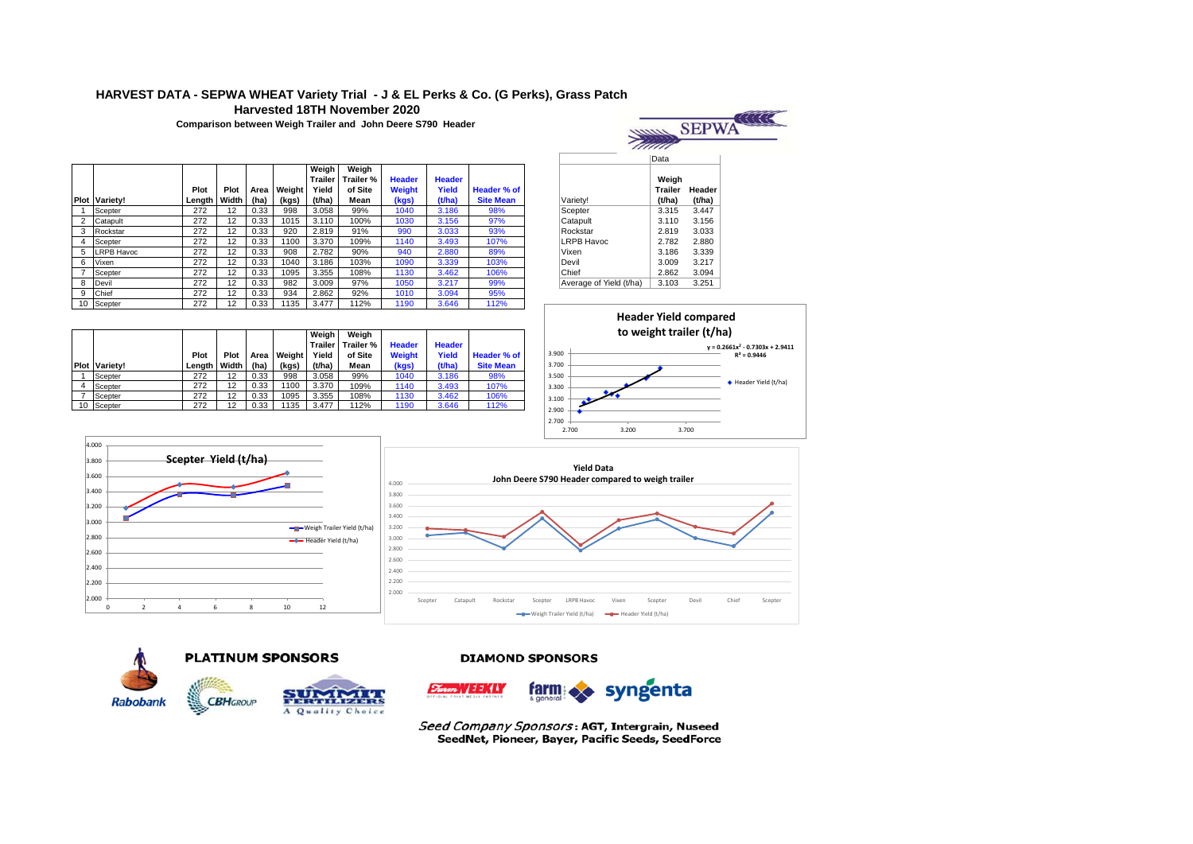# **HARVEST DATA - SEPWA WHEAT Variety Trial - J & EL Perks & Co. (G Perks), Grass Patch Harvested 18TH November 2020**

**Comparison between Weigh Trailer and John Deere S790 Header** 



|    |                      | Plot   | Plot  | Area | <b>Weight</b> | Weiah<br>Trailer<br>Yield | Weiah<br>Trailer %<br>of Site | <b>Header</b><br><b>Weight</b> | <b>Header</b><br>Yield | Header % of      |                         | Weiah<br><b>Trailer</b> | Heade  |
|----|----------------------|--------|-------|------|---------------|---------------------------|-------------------------------|--------------------------------|------------------------|------------------|-------------------------|-------------------------|--------|
|    | <b>Plot Variety!</b> | Length | Width | (ha) | (kgs)         | (t/ha)                    | Mean                          | (kgs)                          | (t/ha)                 | <b>Site Mean</b> | Varietv!                | (t/ha)                  | (t/ha) |
|    | Scepter              | 272    | 12    | 0.33 | 998           | 3.058                     | 99%                           | 1040                           | 3.186                  | 98%              | Scepter                 | 3.315                   | 3.447  |
| ↷  | Catapult             | 272    | 12    | 0.33 | 1015          | 3.110                     | 100%                          | 1030                           | 3.156                  | 97%              | Catapult                | 3.110                   | 3.156  |
| 3  | Rockstar             | 272    | 12    | 0.33 | 920           | 2.819                     | 91%                           | 990                            | 3.033                  | 93%              | Rockstar                | 2.819                   | 3.033  |
|    | Scepter              | 272    | 12    | 0.33 | 1100          | 3.370                     | 109%                          | 1140                           | 3.493                  | 107%             | <b>LRPB Havoc</b>       | 2.782                   | 2.880  |
| 5  | <b>LRPB Havoc</b>    | 272    | 12    | 0.33 | 908           | 2.782                     | 90%                           | 940                            | 2.880                  | 89%              | Vixen                   | 3.186                   | 3.339  |
| 6  | Vixen                | 272    | 12    | 0.33 | 1040          | 3.186                     | 103%                          | 1090                           | 3.339                  | 103%             | Devil                   | 3.009                   | 3.217  |
|    | Scepter              | 272    | 12    | 0.33 | 1095          | 3.355                     | 108%                          | 1130                           | 3.462                  | 106%             | Chief                   | 2.862                   | 3.094  |
| 8  | Devil                | 272    | 12    | 0.33 | 982           | 3.009                     | 97%                           | 1050                           | 3.217                  | 99%              | Average of Yield (t/ha) | 3.103                   | 3.251  |
| 9  | Chief                | 272    | 12    | 0.33 | 934           | 2.862                     | 92%                           | 1010                           | 3.094                  | 95%              |                         |                         |        |
| 10 | Scepter              | 272    | 12    | 0.33 | 1135          | 3.477                     | 112%                          | 1190                           | 3.646                  | 112%             |                         |                         |        |

|                         | Data                              |                  |  |  |  |  |
|-------------------------|-----------------------------------|------------------|--|--|--|--|
| Variety!                | Weigh<br><b>Trailer</b><br>(t/ha) | Header<br>(t/ha) |  |  |  |  |
| Scepter                 | 3.315                             | 3.447            |  |  |  |  |
| Catapult                | 3.110                             | 3.156            |  |  |  |  |
| Rockstar                | 2.819                             | 3.033            |  |  |  |  |
| LRPB Havoc              | 2.782                             | 2.880            |  |  |  |  |
| Vixen                   | 3.186                             | 3.339            |  |  |  |  |
| Devil                   | 3.009                             | 3.217            |  |  |  |  |
| Chief                   | 2.862                             | 3.094            |  |  |  |  |
| Average of Yield (t/ha) | 3.103                             | 3.251            |  |  |  |  |



|    | <b>Plot Varietv!</b> | Plot<br>Lenath | Plot<br>Width | Area<br>(ha) | Weiaht<br>(kgs) | Weiah<br><b>Trailer</b><br>Yield<br>(t/ha) | Weiah<br>Trailer %<br>of Site<br>Mean | <b>Header</b><br>Weight<br>(kgs) | <b>Header</b><br>Yield<br>(t/ha) | Header % of<br><b>Site Mean</b> |
|----|----------------------|----------------|---------------|--------------|-----------------|--------------------------------------------|---------------------------------------|----------------------------------|----------------------------------|---------------------------------|
|    | Scepter              | 272            | 12            | 0.33         | 998             | 3.058                                      | 99%                                   | 1040                             | 3.186                            | 98%                             |
| 4  | Scepter              | 272            | 12            | 0.33         | 1100            | 3.370                                      | 109%                                  | 1140                             | 3.493                            | 107%                            |
| 7  | Scepter              | 272            | 12            | 0.33         | 1095            | 3.355                                      | 108%                                  | 1130                             | 3.462                            | 106%                            |
| 10 | Scepter              | 272            | 12            | 0.33         | 1135            | 3.477                                      | 112%                                  | 1190                             | 3.646                            | 112%                            |









## **DIAMOND SPONSORS**

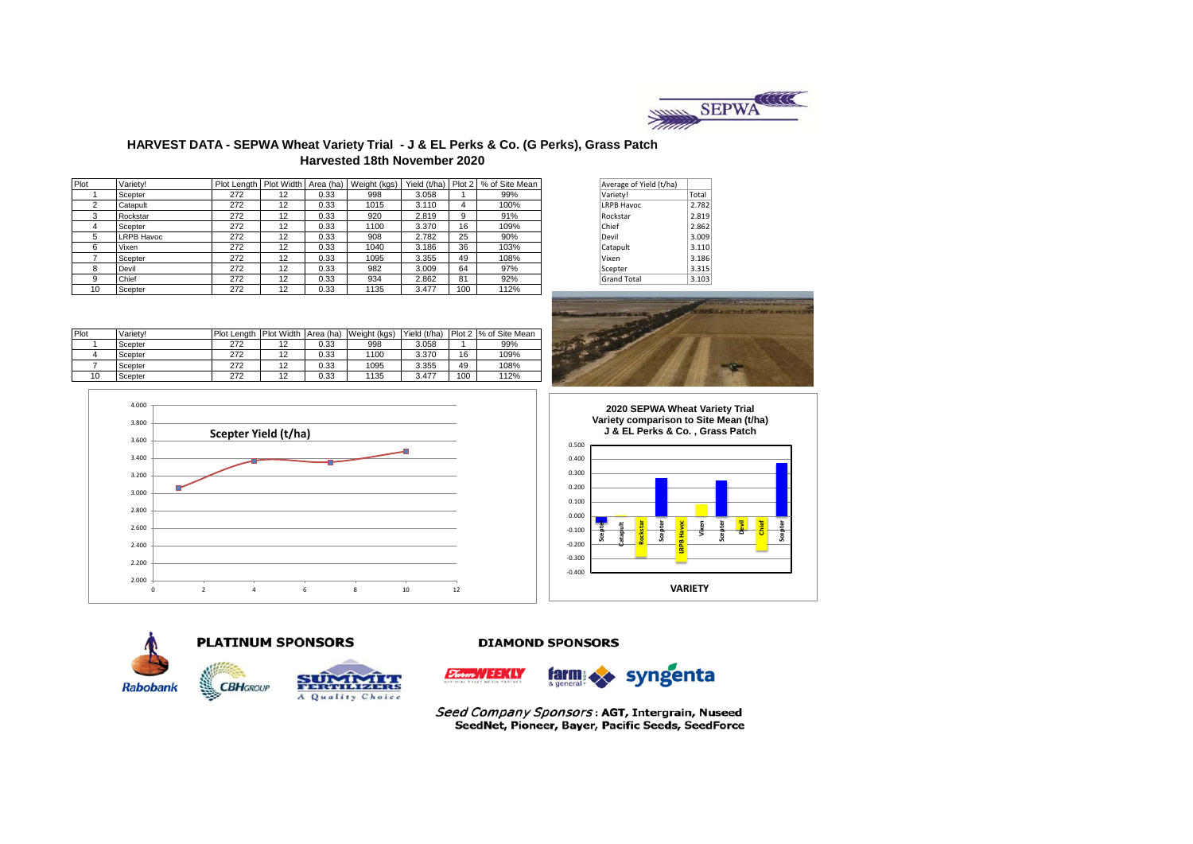

# **HARVEST DATA - SEPWA Wheat Variety Trial - J & EL Perks & Co. (G Perks), Grass Patch Harvested 18th November 2020**

| Plot | Variety!          | Plot Length   Plot Width   Area (ha) |    |      | Weight (kgs) |       |     | Yield (t/ha) Plot 2   % of Site Mean | Average of Yield (t/ha) |       |
|------|-------------------|--------------------------------------|----|------|--------------|-------|-----|--------------------------------------|-------------------------|-------|
|      | Scepter           | 272                                  | 12 | 0.33 | 998          | 3.058 |     | 99%                                  | Variety!                | Total |
|      | Catapult          | 272                                  | 12 | 0.33 | 1015         | 3.110 | 4   | 100%                                 | <b>LRPB Havoc</b>       | 2.782 |
|      | Rockstar          | 272                                  | 12 | 0.33 | 920          | 2.819 | 9   | 91%                                  | Rockstar                | 2.819 |
|      | Scepter           | 272                                  | 12 | 0.33 | 1100         | 3.370 | 16  | 109%                                 | Chief                   | 2.862 |
| 5.   | <b>LRPB Havoc</b> | 272                                  | 12 | 0.33 | 908          | 2.782 | 25  | 90%                                  | Devil                   | 3.009 |
| 6    | Vixen             | 272                                  | 12 | 0.33 | 1040         | 3.186 | 36  | 103%                                 | Catapult                | 3.110 |
|      | Scepter           | 272                                  | 12 | 0.33 | 1095         | 3.355 | 49  | 108%                                 | Vixen                   | 3.186 |
| 8    | Devil             | 272                                  | 12 | 0.33 | 982          | 3.009 | 64  | 97%                                  | Scepter                 | 3.315 |
| 9    | Chief             | 272                                  | 12 | 0.33 | 934          | 2.862 | 81  | 92%                                  | <b>Grand Total</b>      | 3.103 |
| 10   | Scepter           | 272                                  | 12 | 0.33 | 1135         | 3.477 | 100 | 112%                                 |                         |       |

| Average of Yield (t/ha) |       |
|-------------------------|-------|
| Variety!                | Total |
| <b>LRPB Havoc</b>       | 2.782 |
| Rockstar                | 2.819 |
| Chief                   | 2.862 |
| Devil                   | 3.009 |
| Catapult                | 3.110 |
| Vixen                   | 3.186 |
| Scepter                 | 3.315 |
| <b>Grand Total</b>      | 3.103 |



| Plot | Variety! | Plot Length Plot Width Area (ha) |    |      | Weight (kgs) | Yield (t/ha) |     | Plot 2 % of Site Mean |
|------|----------|----------------------------------|----|------|--------------|--------------|-----|-----------------------|
|      | Scepter  | 272                              | 12 | 0.33 | 998          | 3.058        |     | 99%                   |
|      | Scepter  | 272                              | 12 | 0.33 | 1100         | 3.370        | 16  | 109%                  |
|      | Scepter  | 272                              | 12 | 0.33 | 1095         | 3.355        | 49  | 108%                  |
| 10   | Scepter  | 272                              | 12 | 0.33 | 1135         | 3.477        | 100 | 112%                  |









**TVILLER** A Quality Choice

**CBHGROUP** 



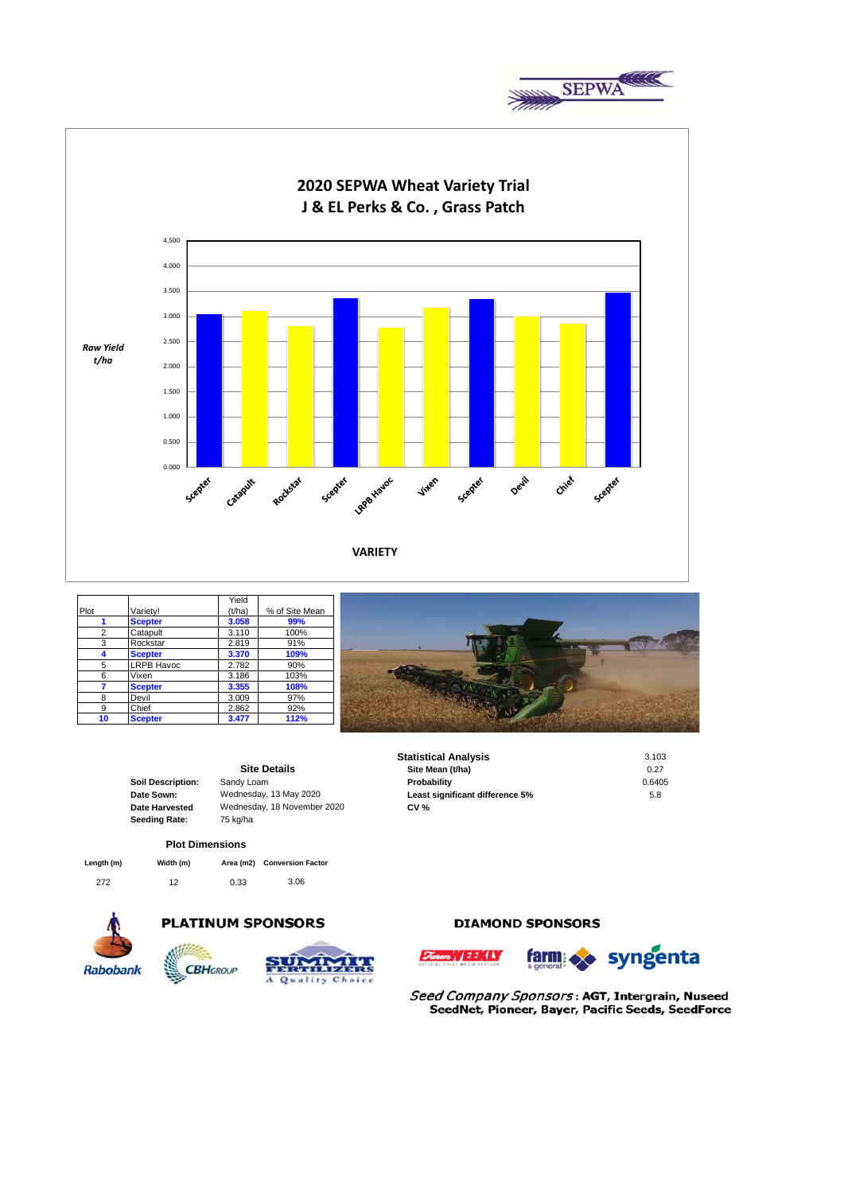



|                |                   | Yield  |                |  |
|----------------|-------------------|--------|----------------|--|
| Plot           | Variety!          | (t/ha) | % of Site Mean |  |
|                | <b>Scepter</b>    | 3.058  | 99%            |  |
| $\overline{2}$ | Catapult          | 3.110  | 100%           |  |
| 3              | Rockstar          | 2.819  | 91%            |  |
|                | <b>Scepter</b>    | 3.370  | 109%           |  |
| 5              | <b>LRPB Havoc</b> | 2.782  | 90%            |  |
| 6              | Vixen             | 3.186  | 103%           |  |
|                | <b>Scepter</b>    | 3.355  | 108%           |  |
| 8              | Devil             | 3.009  | 97%            |  |
| 9              | Chief             | 2.862  | 92%            |  |
| 10             | <b>Scepter</b>    | 3.477  | 112%           |  |



|                          |                             | 3.103                           |        |
|--------------------------|-----------------------------|---------------------------------|--------|
|                          | <b>Site Details</b>         | Site Mean (t/ha)                | 0.27   |
| <b>Soil Description:</b> | Sandy Loam                  | Probability                     | 0.6405 |
| Date Sown:               | Wednesday, 13 May 2020      | Least significant difference 5% | 5.8    |
| Date Harvested           | Wednesday, 18 November 2020 | <b>CV %</b>                     |        |
| <b>Seeding Rate:</b>     | 75 kg/ha                    |                                 |        |

## **Plot Dimensions**

| Length (m) | Width (m) |      | Area (m2) Conversion Factor |
|------------|-----------|------|-----------------------------|
| 272        | 12        | 0.33 | 3.06                        |



# **PLATINUM SPONSORS**





# **DIAMOND SPONSORS**